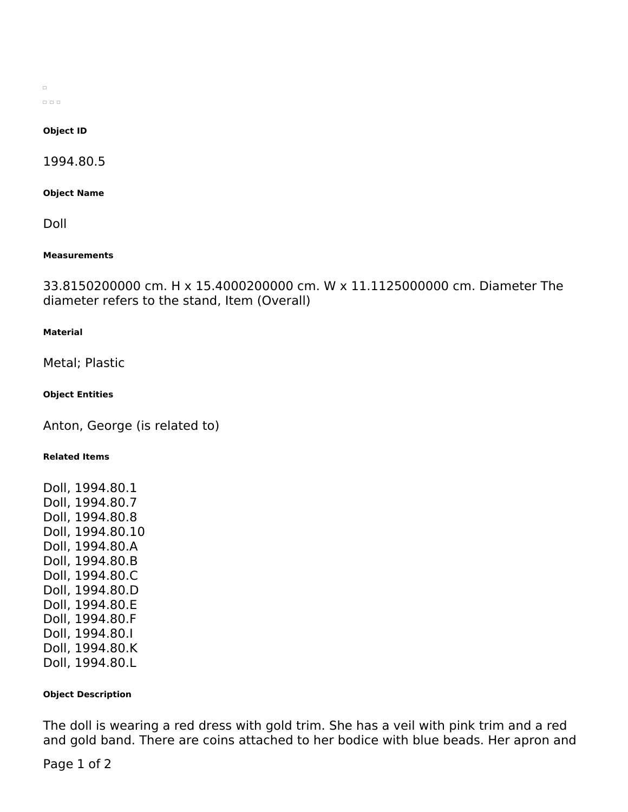$\Box$  $\begin{array}{ccc} \square & \square & \square \end{array}$ 

#### **Object ID**

1994.80.5

**Object Name**

Doll

#### **Measurements**

33.8150200000 cm. H x 15.4000200000 cm. W x 11.1125000000 cm. Diameter The diameter refers to the stand, Item (Overall)

### **Material**

Metal; Plastic

### **Object Entities**

Anton, George (is related to)

## **Related Items**

Doll, 1994.80.1 Doll, 1994.80.7 Doll, 1994.80.8 Doll, 1994.80.10 Doll, 1994.80.A Doll, 1994.80.B Doll, 1994.80.C Doll, 1994.80.D Doll, 1994.80.E Doll, 1994.80.F Doll, 1994.80.I Doll, 1994.80.K Doll, 1994.80.L

### **Object Description**

The doll is wearing a red dress with gold trim. She has a veil with pink trim and a red and gold band. There are coins attached to her bodice with blue beads. Her apron and

Page 1 of 2